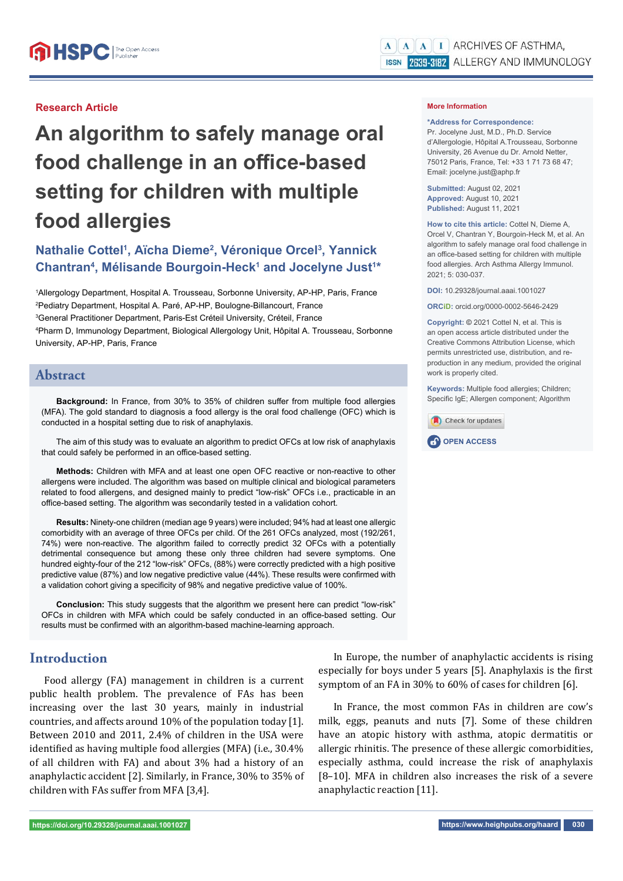## **Research Article**

# **An algorithm to safely manage oral**  food challenge in an office-based **setting for children with multiple food allergies**

# **Nathalie Cottel<sup>1</sup>, Aïcha Dieme<sup>2</sup>, Véronique Orcel<sup>3</sup>, Yannick** Chantran<sup>4</sup>, Mélisande Bourgoin-Heck<sup>1</sup> and Jocelyne Just<sup>1\*</sup>

 Allergology Department, Hospital A. Trousseau, Sorbonne University, AP-HP, Paris, France Pediatry Department, Hospital A. Paré, AP-HP, Boulogne-Billancourt, France General Practitioner Department, Paris-Est Créteil University, Créteil, France Pharm D, Immunology Department, Biological Allergology Unit, Hôpital A. Trousseau, Sorbonne University, AP-HP, Paris, France

## **Abstract**

Background: In France, from 30% to 35% of children suffer from multiple food allergies (MFA). The gold standard to diagnosis a food allergy is the oral food challenge (OFC) which is conducted in a hospital setting due to risk of anaphylaxis.

The aim of this study was to evaluate an algorithm to predict OFCs at low risk of anaphylaxis that could safely be performed in an office-based setting.

**Methods:** Children with MFA and at least one open OFC reactive or non-reactive to other allergens were included. The algorithm was based on multiple clinical and biological parameters related to food allergens, and designed mainly to predict "low-risk" OFCs i.e., practicable in an office-based setting. The algorithm was secondarily tested in a validation cohort.

**Results:** Ninety-one children (median age 9 years) were included; 94% had at least one allergic comorbidity with an average of three OFCs per child. Of the 261 OFCs analyzed, most (192/261, 74%) were non-reactive. The algorithm failed to correctly predict 32 OFCs with a potentially detrimental consequence but among these only three children had severe symptoms. One hundred eighty-four of the 212 "low-risk" OFCs, (88%) were correctly predicted with a high positive predictive value (87%) and low negative predictive value (44%). These results were confirmed with a validation cohort giving a specificity of 98% and negative predictive value of 100%.

**Conclusion:** This study suggests that the algorithm we present here can predict "low-risk" OFCs in children with MFA which could be safely conducted in an office-based setting. Our results must be confirmed with an algorithm-based machine-learning approach.

# **Introduction**

Food allergy (FA) management in children is a current public health problem. The prevalence of FAs has been increasing over the last 30 years, mainly in industrial countries, and affects around 10% of the population today [1]. Between 2010 and 2011, 2.4% of children in the USA were identified as having multiple food allergies (MFA) (i.e., 30.4% of all children with FA) and about 3% had a history of an anaphylactic accident [2]. Similarly, in France, 30% to 35% of children with FAs suffer from MFA [3,4].

In Europe, the number of anaphylactic accidents is rising especially for boys under 5 years [5]. Anaphylaxis is the first symptom of an FA in 30% to 60% of cases for children [6].

In France, the most common FAs in children are cow's milk, eggs, peanuts and nuts [7]. Some of these children have an atopic history with asthma, atopic dermatitis or allergic rhinitis. The presence of these allergic comorbidities, especially asthma, could increase the risk of anaphylaxis [8–10]. MFA in children also increases the risk of a severe anaphylactic reaction [11].

**\*Address for Correspondence:**  Pr. Jocelyne Just, M.D., Ph.D. Service d'Allergologie, Hôpital A.Trousseau, Sorbonne University, 26 Avenue du Dr. Arnold Netter, 75012 Paris, France, Tel: +33 1 71 73 68 47; Email: jocelyne.just@aphp.fr

**Submitted:** August 02, 2021 **Approved:** August 10, 2021 **Published:** August 11, 2021

**How to cite this article:** Cottel N, Dieme A, Orcel V, Chantran Y, Bourgoin-Heck M, et al. An algorithm to safely manage oral food challenge in an office-based setting for children with multiple food allergies. Arch Asthma Allergy Immunol. 2021; 5: 030-037.

**DOI:** 10.29328/journal.aaai.1001027

**ORCiD:** orcid.org/0000-0002-5646-2429

**Copyright: ©** 2021 Cottel N, et al. This is an open access article distributed under the Creative Commons Attribution License, which permits unrestricted use, distribution, and reproduction in any medium, provided the original work is properly cited.

**Keywords:** Multiple food allergies; Children; Specific IgE; Allergen component; Algorithm



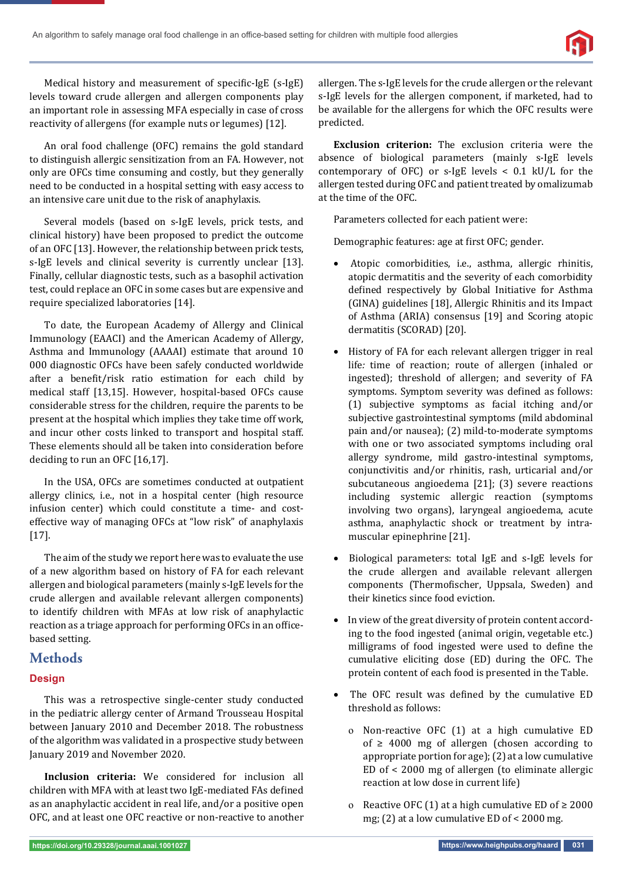

Medical history and measurement of specific-IgE (s-IgE) levels toward crude allergen and allergen components play an important role in assessing MFA especially in case of cross reactivity of allergens (for example nuts or legumes) [12].

An oral food challenge (OFC) remains the gold standard to distinguish allergic sensitization from an FA. However, not only are OFCs time consuming and costly, but they generally need to be conducted in a hospital setting with easy access to an intensive care unit due to the risk of anaphylaxis.

Several models (based on s-IgE levels, prick tests, and clinical history) have been proposed to predict the outcome of an OFC [13]. However, the relationship between prick tests, s-IgE levels and clinical severity is currently unclear [13]. Finally, cellular diagnostic tests, such as a basophil activation test, could replace an OFC in some cases but are expensive and require specialized laboratories [14].

To date, the European Academy of Allergy and Clinical Immunology (EAACI) and the American Academy of Allergy, Asthma and Immunology (AAAAI) estimate that around 10 000 diagnostic OFCs have been safely conducted worldwide after a benefit/risk ratio estimation for each child by medical staff [13,15]. However, hospital-based OFCs cause considerable stress for the children, require the parents to be present at the hospital which implies they take time off work, and incur other costs linked to transport and hospital staff. These elements should all be taken into consideration before deciding to run an OFC [16,17].

In the USA, OFCs are sometimes conducted at outpatient allergy clinics, i.e., not in a hospital center (high resource infusion center) which could constitute a time- and costeffective way of managing OFCs at "low risk" of anaphylaxis [17].

The aim of the study we report here was to evaluate the use of a new algorithm based on history of FA for each relevant allergen and biological parameters (mainly s-IgE levels for the crude allergen and available relevant allergen components) to identify children with MFAs at low risk of anaphylactic reaction as a triage approach for performing OFCs in an officebased setting.

# **Methods**

## **Design**

This was a retrospective single-center study conducted in the pediatric allergy center of Armand Trousseau Hospital between January 2010 and December 2018. The robustness of the algorithm was validated in a prospective study between January 2019 and November 2020.

**Inclusion criteria:** We considered for inclusion all children with MFA with at least two IgE-mediated FAs defined as an anaphylactic accident in real life, and/or a positive open OFC, and at least one OFC reactive or non-reactive to another

allergen. The s-IgE levels for the crude allergen or the relevant s-IgE levels for the allergen component, if marketed, had to be available for the allergens for which the OFC results were predicted.

**Exclusion criterion:** The exclusion criteria were the absence of biological parameters (mainly s-IgE levels contemporary of OFC) or s-IgE levels < 0.1 kU/L for the allergen tested during OFC and patient treated by omalizumab at the time of the OFC.

Parameters collected for each patient were:

Demographic features: age at first OFC; gender.

- Atopic comorbidities, i.e., asthma, allergic rhinitis, atopic dermatitis and the severity of each comorbidity defined respectively by Global Initiative for Asthma (GINA) guidelines [18], Allergic Rhinitis and its Impact of Asthma (ARIA) consensus [19] and Scoring atopic dermatitis (SCORAD) [20].
- History of FA for each relevant allergen trigger in real life*:* time of reaction; route of allergen (inhaled or ingested); threshold of allergen; and severity of FA symptoms. Symptom severity was defined as follows: (1) subjective symptoms as facial itching and/or subjective gastrointestinal symptoms (mild abdominal pain and/or nausea); (2) mild-to-moderate symptoms with one or two associated symptoms including oral allergy syndrome, mild gastro-intestinal symptoms, conjunctivitis and/or rhinitis, rash, urticarial and/or subcutaneous angioedema [21]; (3) severe reactions including systemic allergic reaction (symptoms involving two organs), laryngeal angioedema, acute asthma, anaphylactic shock or treatment by intramuscular epinephrine [21].
- Biological parameters: total IgE and s-IgE levels for the crude allergen and available relevant allergen components (Thermofischer, Uppsala, Sweden) and their kinetics since food eviction.
- In view of the great diversity of protein content according to the food ingested (animal origin, vegetable etc.) milligrams of food ingested were used to define the cumulative eliciting dose (ED) during the OFC. The protein content of each food is presented in the Table.
- The OFC result was defined by the cumulative ED threshold as follows:
	- o Non-reactive OFC (1) at a high cumulative ED of  $\geq$  4000 mg of allergen (chosen according to appropriate portion for age); (2) at a low cumulative ED of < 2000 mg of allergen (to eliminate allergic reaction at low dose in current life)
	- o Reactive OFC (1) at a high cumulative ED of ≥ 2000 mg; (2) at a low cumulative ED of < 2000 mg.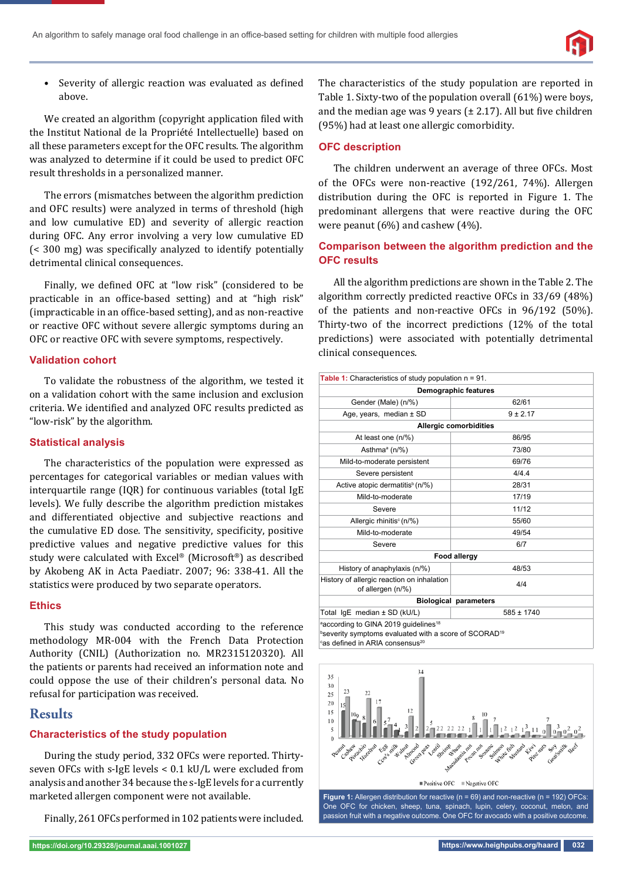

• Severity of allergic reaction was evaluated as defined above.

We created an algorithm (copyright application filed with the Institut National de la Propriété Intellectuelle) based on all these parameters except for the OFC results. The algorithm was analyzed to determine if it could be used to predict OFC result thresholds in a personalized manner.

The errors (mismatches between the algorithm prediction and OFC results) were analyzed in terms of threshold (high and low cumulative ED) and severity of allergic reaction during OFC. Any error involving a very low cumulative ED  $\approx$  300 mg) was specifically analyzed to identify potentially detrimental clinical consequences.

Finally, we defined OFC at "low risk" (considered to be practicable in an office-based setting) and at "high risk" (impracticable in an office-based setting), and as non-reactive or reactive OFC without severe allergic symptoms during an OFC or reactive OFC with severe symptoms, respectively.

## **Validation cohort**

To validate the robustness of the algorithm, we tested it on a validation cohort with the same inclusion and exclusion criteria. We identified and analyzed OFC results predicted as "low-risk" by the algorithm.

#### **Statistical analysis**

The characteristics of the population were expressed as percentages for categorical variables or median values with interquartile range (IQR) for continuous variables (total IgE levels). We fully describe the algorithm prediction mistakes and differentiated objective and subjective reactions and the cumulative ED dose. The sensitivity, specificity, positive predictive values and negative predictive values for this study were calculated with Excel® (Microsoft®) as described by Akobeng AK in Acta Paediatr. 2007; 96: 338-41. All the statistics were produced by two separate operators.

## **Ethics**

This study was conducted according to the reference methodology MR-004 with the French Data Protection Authority (CNIL) (Authorization no. MR2315120320). All the patients or parents had received an information note and could oppose the use of their children's personal data. No refusal for participation was received.

# **Results**

## **Characteristics of the study population**

During the study period, 332 OFCs were reported. Thirtyseven OFCs with s-IgE levels < 0.1 kU/L were excluded from analysis and another 34 because the s-IgE levels for a currently marketed allergen component were not available.

Finally, 261 OFCs performed in 102 patients were included.

The characteristics of the study population are reported in Table 1. Sixty-two of the population overall (61%) were boys, and the median age was 9 years  $(\pm 2.17)$ . All but five children (95%) had at least one allergic comorbidity.

## **OFC description**

The children underwent an average of three OFCs. Most of the OFCs were non-reactive (192/261, 74%). Allergen distribution during the OFC is reported in Figure 1. The predominant allergens that were reactive during the OFC were peanut (6%) and cashew (4%).

## **Comparison between the algorithm prediction and the OFC results**

All the algorithm predictions are shown in the Table 2. The algorithm correctly predicted reactive OFCs in 33/69 (48%) of the patients and non-reactive OFCs in 96/192 (50%). Thirty-two of the incorrect predictions (12% of the total predictions) were associated with potentially detrimental clinical consequences.

| Table 1: Characteristics of study population $n = 91$ .                                                                                                             |                               |  |  |  |  |
|---------------------------------------------------------------------------------------------------------------------------------------------------------------------|-------------------------------|--|--|--|--|
| Demographic features                                                                                                                                                |                               |  |  |  |  |
| Gender (Male) (n/%)                                                                                                                                                 | 62/61                         |  |  |  |  |
| Age, years, median $\pm$ SD                                                                                                                                         | $9 \pm 2.17$                  |  |  |  |  |
|                                                                                                                                                                     | <b>Allergic comorbidities</b> |  |  |  |  |
| At least one (n/%)                                                                                                                                                  | 86/95                         |  |  |  |  |
| Asthma <sup>a</sup> (n/%)                                                                                                                                           | 73/80                         |  |  |  |  |
| Mild-to-moderate persistent                                                                                                                                         | 69/76                         |  |  |  |  |
| Severe persistent                                                                                                                                                   | 4/4.4                         |  |  |  |  |
| Active atopic dermatitis <sup>b</sup> (n/%)                                                                                                                         | 28/31                         |  |  |  |  |
| Mild-to-moderate                                                                                                                                                    | 17/19                         |  |  |  |  |
| Severe                                                                                                                                                              | 11/12                         |  |  |  |  |
| Allergic rhinitis <sup>c</sup> (n/%)                                                                                                                                | 55/60                         |  |  |  |  |
| Mild-to-moderate                                                                                                                                                    | 49/54                         |  |  |  |  |
| Severe                                                                                                                                                              | 6/7                           |  |  |  |  |
|                                                                                                                                                                     | <b>Food allergy</b>           |  |  |  |  |
| History of anaphylaxis (n/%)                                                                                                                                        | 48/53                         |  |  |  |  |
| History of allergic reaction on inhalation<br>of allergen (n/%)                                                                                                     | 4/4                           |  |  |  |  |
| <b>Biological parameters</b>                                                                                                                                        |                               |  |  |  |  |
| Total IgE median ± SD (kU/L)                                                                                                                                        | $585 \pm 1740$                |  |  |  |  |
| according to GINA 2019 quidelines <sup>18</sup><br>bseverity symptoms evaluated with a score of SCORAD <sup>19</sup><br>cas defined in ARIA consensus <sup>20</sup> |                               |  |  |  |  |



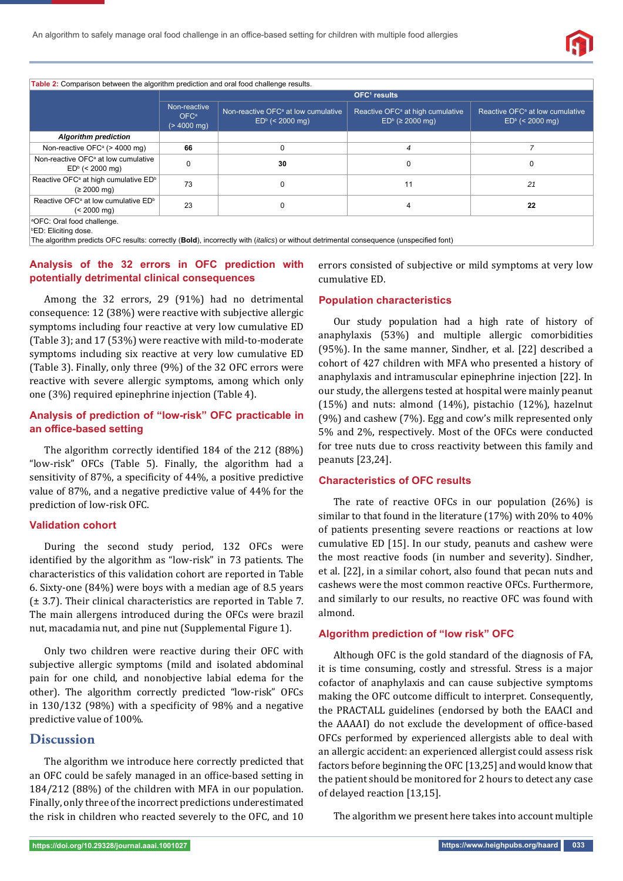

**Table 2:** Comparison between the algorithm prediction and oral food challenge results.

|                                                                                                                                                                                                                        | OFC <sup>1</sup> results                                  |                                                                      |                                                                         |                                                                  |  |
|------------------------------------------------------------------------------------------------------------------------------------------------------------------------------------------------------------------------|-----------------------------------------------------------|----------------------------------------------------------------------|-------------------------------------------------------------------------|------------------------------------------------------------------|--|
|                                                                                                                                                                                                                        | Non-reactive<br>OFC <sup>a</sup><br>$(> 4000 \text{ mg})$ | Non-reactive OFC <sup>a</sup> at low cumulative<br>$EDb$ (< 2000 mg) | Reactive OFC <sup>a</sup> at high cumulative<br>$EDb$ ( $\geq$ 2000 mg) | Reactive OFC <sup>a</sup> at low cumulative<br>$EDb$ (< 2000 mg) |  |
| <b>Algorithm prediction</b>                                                                                                                                                                                            |                                                           |                                                                      |                                                                         |                                                                  |  |
| Non-reactive OFC <sup>a</sup> (> 4000 mg)                                                                                                                                                                              | 66                                                        | $\Omega$                                                             | 4                                                                       |                                                                  |  |
| Non-reactive OFC <sup>a</sup> at low cumulative<br>$EDb$ (< 2000 mg)                                                                                                                                                   |                                                           | 30                                                                   | $\Omega$                                                                | $\Omega$                                                         |  |
| Reactive OFC <sup>a</sup> at high cumulative ED <sup>b</sup><br>$(22000 \text{ mg})$                                                                                                                                   | 73                                                        | 0                                                                    | 11                                                                      | 21                                                               |  |
| Reactive OFC <sup>a</sup> at low cumulative ED <sup>b</sup><br>$(< 2000$ ma)                                                                                                                                           | 23                                                        | 0                                                                    | 4                                                                       | 22                                                               |  |
| <sup>a</sup> OFC: Oral food challenge.<br><b>PED: Eliciting dose.</b><br>The algorithm predicts OFC results: correctly (Bold), incorrectly with <i>(italics)</i> or without detrimental consequence (unspecified font) |                                                           |                                                                      |                                                                         |                                                                  |  |

## **Analysis of the 32 errors in OFC prediction with potentially detrimental clinical consequences**

Among the 32 errors, 29 (91%) had no detrimental consequence: 12 (38%) were reactive with subjective allergic symptoms including four reactive at very low cumulative ED (Table 3); and 17 (53%) were reactive with mild-to-moderate symptoms including six reactive at very low cumulative ED (Table 3). Finally, only three (9%) of the 32 OFC errors were reactive with severe allergic symptoms, among which only one (3%) required epinephrine injection (Table 4).

## **Analysis of prediction of "low-risk" OFC practicable in an office-based setting**

The algorithm correctly identified 184 of the 212 (88%) "low-risk" OFCs (Table 5). Finally, the algorithm had a sensitivity of 87%, a specificity of 44%, a positive predictive value of 87%, and a negative predictive value of 44% for the prediction of low-risk OFC.

## **Validation cohort**

During the second study period, 132 OFCs were identified by the algorithm as "low-risk" in 73 patients. The characteristics of this validation cohort are reported in Table 6. Sixty-one (84%) were boys with a median age of 8.5 years (± 3.7). Their clinical characteristics are reported in Table 7. The main allergens introduced during the OFCs were brazil nut, macadamia nut, and pine nut (Supplemental Figure 1).

Only two children were reactive during their OFC with subjective allergic symptoms (mild and isolated abdominal pain for one child, and nonobjective labial edema for the other). The algorithm correctly predicted "low-risk" OFCs in  $130/132$  (98%) with a specificity of 98% and a negative predictive value of 100%.

# **Discussion**

 The algorithm we introduce here correctly predicted that an OFC could be safely managed in an office-based setting in 184/212 (88%) of the children with MFA in our population. Finally, only three of the incorrect predictions underestimated the risk in children who reacted severely to the OFC, and 10 errors consisted of subjective or mild symptoms at very low cumulative ED.

#### **Population characteristics**

Our study population had a high rate of history of anaphylaxis (53%) and multiple allergic comorbidities (95%). In the same manner, Sindher, et al. [22] described a cohort of 427 children with MFA who presented a history of anaphylaxis and intramuscular epinephrine injection [22]. In our study, the allergens tested at hospital were mainly peanut (15%) and nuts: almond (14%), pistachio (12%), hazelnut (9%) and cashew (7%). Egg and cow's milk represented only 5% and 2%, respectively. Most of the OFCs were conducted for tree nuts due to cross reactivity between this family and peanuts [23,24].

#### **Characteristics of OFC results**

The rate of reactive OFCs in our population (26%) is similar to that found in the literature (17%) with 20% to 40% of patients presenting severe reactions or reactions at low cumulative ED [15]. In our study, peanuts and cashew were the most reactive foods (in number and severity). Sindher, et al. [22], in a similar cohort, also found that pecan nuts and cashews were the most common reactive OFCs. Furthermore, and similarly to our results, no reactive OFC was found with almond.

#### **Algorithm prediction of "low risk" OFC**

Although OFC is the gold standard of the diagnosis of FA, it is time consuming, costly and stressful. Stress is a major cofactor of anaphylaxis and can cause subjective symptoms making the OFC outcome difficult to interpret. Consequently, the PRACTALL guidelines (endorsed by both the EAACI and the AAAAI) do not exclude the development of office-based OFCs performed by experienced allergists able to deal with an allergic accident: an experienced allergist could assess risk factors before beginning the OFC [13,25] and would know that the patient should be monitored for 2 hours to detect any case of delayed reaction [13,15].

The algorithm we present here takes into account multiple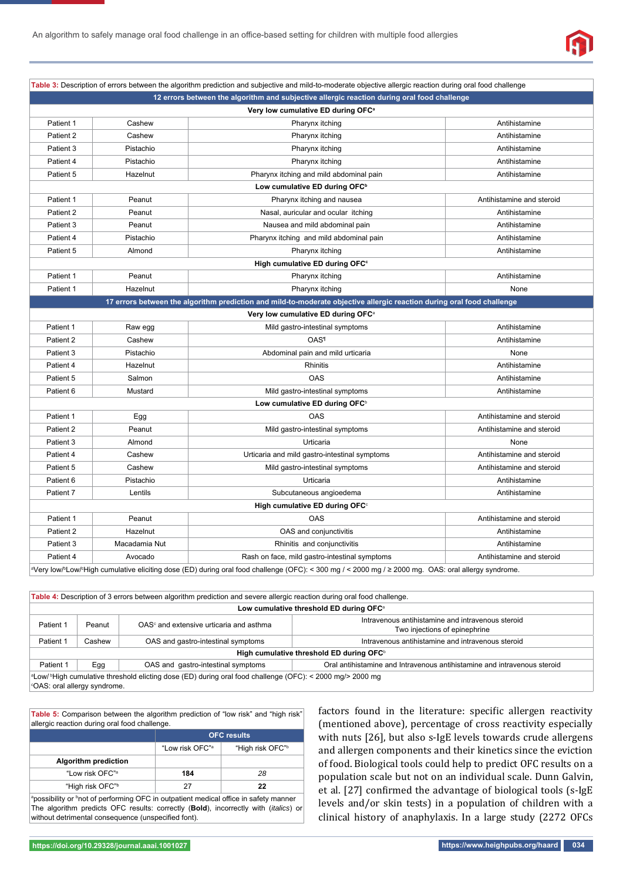

|                                                                                                                                                             |               | Table 3: Description of errors between the algorithm prediction and subjective and mild-to-moderate objective allergic reaction during oral food challenge |                           |
|-------------------------------------------------------------------------------------------------------------------------------------------------------------|---------------|------------------------------------------------------------------------------------------------------------------------------------------------------------|---------------------------|
| 12 errors between the algorithm and subjective allergic reaction during oral food challenge                                                                 |               |                                                                                                                                                            |                           |
|                                                                                                                                                             |               | Very low cumulative ED during OFC <sup>a</sup>                                                                                                             |                           |
| Patient 1                                                                                                                                                   | Cashew        | Pharynx itching                                                                                                                                            | Antihistamine             |
| Patient 2                                                                                                                                                   | Cashew        | Pharynx itching                                                                                                                                            | Antihistamine             |
| Patient 3                                                                                                                                                   | Pistachio     | Pharynx itching                                                                                                                                            | Antihistamine             |
| Patient 4                                                                                                                                                   | Pistachio     | Pharynx itching                                                                                                                                            | Antihistamine             |
| Patient 5                                                                                                                                                   | Hazelnut      | Pharynx itching and mild abdominal pain                                                                                                                    | Antihistamine             |
|                                                                                                                                                             |               | Low cumulative ED during OFC <sup>b</sup>                                                                                                                  |                           |
| Patient 1                                                                                                                                                   | Peanut        | Pharynx itching and nausea                                                                                                                                 | Antihistamine and steroid |
| Patient 2                                                                                                                                                   | Peanut        | Nasal, auricular and ocular itching                                                                                                                        | Antihistamine             |
| Patient 3                                                                                                                                                   | Peanut        | Nausea and mild abdominal pain                                                                                                                             | Antihistamine             |
| Patient 4                                                                                                                                                   | Pistachio     | Pharynx itching and mild abdominal pain                                                                                                                    | Antihistamine             |
| Patient 5                                                                                                                                                   | Almond        | Pharynx itching                                                                                                                                            | Antihistamine             |
|                                                                                                                                                             |               | High cumulative ED during OFC <sup>c</sup>                                                                                                                 |                           |
| Patient 1                                                                                                                                                   | Peanut        | Pharynx itching                                                                                                                                            | Antihistamine             |
| Patient 1                                                                                                                                                   | Hazelnut      | Pharynx itching                                                                                                                                            | None                      |
|                                                                                                                                                             |               | 17 errors between the algorithm prediction and mild-to-moderate objective allergic reaction during oral food challenge                                     |                           |
|                                                                                                                                                             |               | Very low cumulative ED during OFC <sup>a</sup>                                                                                                             |                           |
| Patient 1                                                                                                                                                   | Raw egg       | Mild gastro-intestinal symptoms                                                                                                                            | Antihistamine             |
| Patient 2                                                                                                                                                   | Cashew        | <b>OAS</b> <sup>1</sup>                                                                                                                                    | Antihistamine             |
| Patient 3                                                                                                                                                   | Pistachio     | Abdominal pain and mild urticaria                                                                                                                          | None                      |
| Patient 4                                                                                                                                                   | Hazelnut      | Rhinitis                                                                                                                                                   | Antihistamine             |
| Patient 5                                                                                                                                                   | Salmon        | <b>OAS</b>                                                                                                                                                 | Antihistamine             |
| Patient 6                                                                                                                                                   | Mustard       | Mild gastro-intestinal symptoms                                                                                                                            | Antihistamine             |
|                                                                                                                                                             |               | Low cumulative ED during OFC <sup>b</sup>                                                                                                                  |                           |
| Patient 1                                                                                                                                                   | Egg           | <b>OAS</b>                                                                                                                                                 | Antihistamine and steroid |
| Patient 2                                                                                                                                                   | Peanut        | Mild gastro-intestinal symptoms                                                                                                                            | Antihistamine and steroid |
| Patient 3                                                                                                                                                   | Almond        | Urticaria                                                                                                                                                  | None                      |
| Patient 4                                                                                                                                                   | Cashew        | Urticaria and mild gastro-intestinal symptoms                                                                                                              | Antihistamine and steroid |
| Patient 5                                                                                                                                                   | Cashew        | Mild gastro-intestinal symptoms                                                                                                                            | Antihistamine and steroid |
| Patient 6                                                                                                                                                   | Pistachio     | Urticaria                                                                                                                                                  | Antihistamine             |
| Patient 7                                                                                                                                                   | Lentils       | Subcutaneous angioedema                                                                                                                                    | Antihistamine             |
| High cumulative ED during OFC <sup>c</sup>                                                                                                                  |               |                                                                                                                                                            |                           |
| Patient 1                                                                                                                                                   | Peanut        | <b>OAS</b>                                                                                                                                                 | Antihistamine and steroid |
| Patient 2                                                                                                                                                   | Hazelnut      | OAS and conjunctivitis                                                                                                                                     | Antihistamine             |
| Patient 3                                                                                                                                                   | Macadamia Nut | Rhinitis and conjunctivitis                                                                                                                                | Antihistamine             |
| Patient 4                                                                                                                                                   | Avocado       | Rash on face, mild gastro-intestinal symptoms                                                                                                              | Antihistamine and steroid |
| a) any low by owlship of the cumulative eliciting dose (ED) during arel food challenge (OEC): < 300 mg / < 2000 mg / > 2000 mg . OAS: oral allergy syndrome |               |                                                                                                                                                            |                           |

Very low/b Low/c High cumulative eliciting dose (ED) during oral food challenge (OFC): < 300 mg / < 2000 mg / ≥ 2000 mg. OAS: oral allergy syndrome.

|                                                                                                                                                        |        | Table 4: Description of 3 errors between algorithm prediction and severe allergic reaction during oral food challenge. |                                                                          |  |  |
|--------------------------------------------------------------------------------------------------------------------------------------------------------|--------|------------------------------------------------------------------------------------------------------------------------|--------------------------------------------------------------------------|--|--|
| Low cumulative threshold ED during OFC <sup>a</sup>                                                                                                    |        |                                                                                                                        |                                                                          |  |  |
| Intravenous antihistamine and intravenous steroid<br>Patient 1<br>$OASc$ and extensive urticaria and asthma<br>Peanut<br>Two injections of epinephrine |        |                                                                                                                        |                                                                          |  |  |
| Patient 1                                                                                                                                              | Cashew | OAS and gastro-intestinal symptoms                                                                                     | Intravenous antihistamine and intravenous steroid                        |  |  |
| High cumulative threshold ED during OFC <sup>b</sup>                                                                                                   |        |                                                                                                                        |                                                                          |  |  |
| Patient 1                                                                                                                                              | Egg    | OAS and gastro-intestinal symptoms                                                                                     | Oral antihistamine and Intravenous antihistamine and intravenous steroid |  |  |
| a Low/bHigh cumulative threshold elicting dose (ED) during oral food challenge (OFC): < 2000 mg/> 2000 mg<br>CAS: oral allergy syndrome.               |        |                                                                                                                        |                                                                          |  |  |

**Table 5:** Comparison between the algorithm prediction of "low risk" and "high risk" allergic reaction during oral food challenge.

| <b>OFC</b> results          |                 |  |  |
|-----------------------------|-----------------|--|--|
| "Low risk OFC" <sup>a</sup> | "High risk OFC" |  |  |
|                             |                 |  |  |
| 184                         | 28              |  |  |
| 27                          | 22              |  |  |
|                             |                 |  |  |

<sup>a</sup>possibility or <sup>b</sup>not of performing OFC in outpatient medical office in safety manner The algorithm predicts OFC results: correctly (**Bold**), incorrectly with (*italics*) or without detrimental consequence (unspecified font).

factors found in the literature: specific allergen reactivity (mentioned above), percentage of cross reactivity especially with nuts [26], but also s-IgE levels towards crude allergens and allergen components and their kinetics since the eviction of food. Biological tools could help to predict OFC results on a population scale but not on an individual scale. Dunn Galvin, et al. [27] confirmed the advantage of biological tools (s-IgE levels and/or skin tests) in a population of children with a clinical history of anaphylaxis. In a large study (2272 OFCs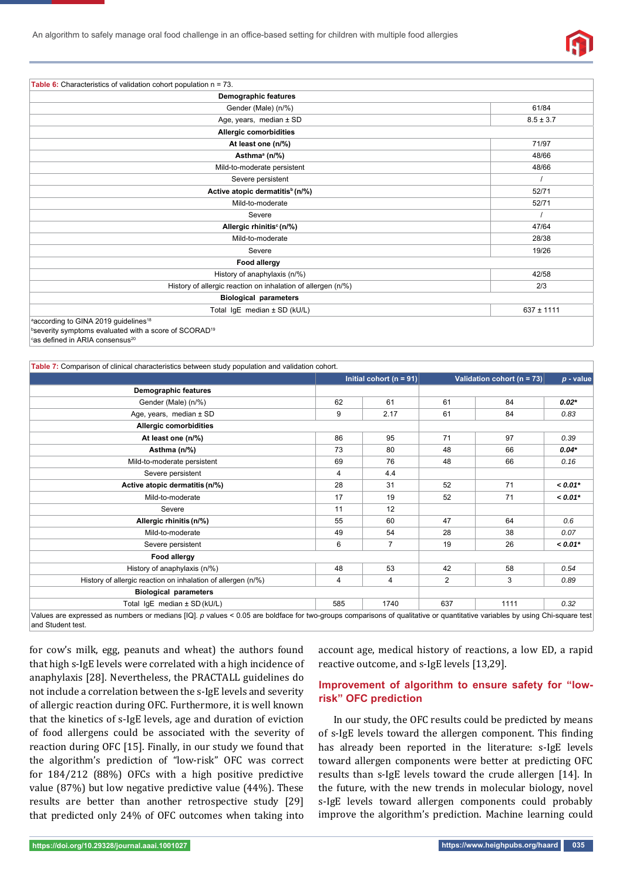

| <b>Table 6:</b> Characteristics of validation cohort population $n = 73$ . |                |
|----------------------------------------------------------------------------|----------------|
| <b>Demographic features</b>                                                |                |
| Gender (Male) (n/%)                                                        | 61/84          |
| Age, years, median ± SD                                                    | $8.5 \pm 3.7$  |
| Allergic comorbidities                                                     |                |
| At least one (n/%)                                                         | 71/97          |
| Asthma <sup>ª</sup> (n/%)                                                  | 48/66          |
| Mild-to-moderate persistent                                                | 48/66          |
| Severe persistent                                                          |                |
| Active atopic dermatitis <sup>b</sup> (n/%)                                | 52/71          |
| Mild-to-moderate                                                           | 52/71          |
| Severe                                                                     |                |
| Allergic rhinitis <sup>c</sup> (n/%)                                       | 47/64          |
| Mild-to-moderate                                                           | 28/38          |
| Severe                                                                     | 19/26          |
| Food allergy                                                               |                |
| History of anaphylaxis (n/%)                                               | 42/58          |
| History of allergic reaction on inhalation of allergen (n/%)               | 2/3            |
| <b>Biological parameters</b>                                               |                |
| Total IgE median ± SD (kU/L)                                               | $637 \pm 1111$ |
| according to GINA 2019 guidelines <sup>18</sup>                            |                |
| bseverity symptoms evaluated with a score of SCORAD <sup>19</sup>          |                |

 $^\mathrm{c}$ as defined in ARIA consensus $^\mathrm{20}$ 

| Table 7: Comparison of clinical characteristics between study population and validation cohort.                                                                                                 |     |                             |                |                                |           |
|-------------------------------------------------------------------------------------------------------------------------------------------------------------------------------------------------|-----|-----------------------------|----------------|--------------------------------|-----------|
|                                                                                                                                                                                                 |     | Initial cohort ( $n = 91$ ) |                | Validation cohort ( $n = 73$ ) |           |
| Demographic features                                                                                                                                                                            |     |                             |                |                                |           |
| Gender (Male) (n/%)                                                                                                                                                                             | 62  | 61                          | 61             | 84                             | $0.02*$   |
| Age, years, median $\pm$ SD                                                                                                                                                                     | 9   | 2.17                        | 61             | 84                             | 0.83      |
| Allergic comorbidities                                                                                                                                                                          |     |                             |                |                                |           |
| At least one (n/%)                                                                                                                                                                              | 86  | 95                          | 71             | 97                             | 0.39      |
| Asthma (n/%)                                                                                                                                                                                    | 73  | 80                          | 48             | 66                             | $0.04*$   |
| Mild-to-moderate persistent                                                                                                                                                                     | 69  | 76                          | 48             | 66                             | 0.16      |
| Severe persistent                                                                                                                                                                               | 4   | 4.4                         |                |                                |           |
| Active atopic dermatitis (n/%)                                                                                                                                                                  | 28  | 31                          | 52             | 71                             | $< 0.01*$ |
| Mild-to-moderate                                                                                                                                                                                | 17  | 19                          | 52             | 71                             | $< 0.01*$ |
| Severe                                                                                                                                                                                          | 11  | 12                          |                |                                |           |
| Allergic rhinitis (n/%)                                                                                                                                                                         | 55  | 60                          | 47             | 64                             | 0.6       |
| Mild-to-moderate                                                                                                                                                                                | 49  | 54                          | 28             | 38                             | 0.07      |
| Severe persistent                                                                                                                                                                               | 6   | 7                           | 19             | 26                             | $< 0.01*$ |
| Food allergy                                                                                                                                                                                    |     |                             |                |                                |           |
| History of anaphylaxis (n/%)                                                                                                                                                                    | 48  | 53                          | 42             | 58                             | 0.54      |
| History of allergic reaction on inhalation of allergen (n/%)                                                                                                                                    | 4   | 4                           | $\overline{2}$ | 3                              | 0.89      |
| <b>Biological parameters</b>                                                                                                                                                                    |     |                             |                |                                |           |
| Total IgE median ± SD (kU/L)                                                                                                                                                                    | 585 | 1740                        | 637            | 1111                           | 0.32      |
| Values are expressed as numbers or medians [IQ]. p values < 0.05 are boldface for two-groups comparisons of qualitative or quantitative variables by using Chi-square test<br>and Student test. |     |                             |                |                                |           |

for cow's milk, egg, peanuts and wheat) the authors found that high s-IgE levels were correlated with a high incidence of anaphylaxis [28]. Nevertheless, the PRACTALL guidelines do not include a correlation between the s-IgE levels and severity of allergic reaction during OFC. Furthermore, it is well known that the kinetics of s-IgE levels, age and duration of eviction of food allergens could be associated with the severity of reaction during OFC [15]. Finally, in our study we found that the algorithm's prediction of "low-risk" OFC was correct for 184/212 (88%) OFCs with a high positive predictive value (87%) but low negative predictive value (44%). These results are better than another retrospective study [29] that predicted only 24% of OFC outcomes when taking into

account age, medical history of reactions, a low ED, a rapid reactive outcome, and s-IgE levels [13,29].

## **Improvement of algorithm to ensure safety for "lowrisk" OFC prediction**

In our study, the OFC results could be predicted by means of s-IgE levels toward the allergen component. This finding has already been reported in the literature: s-IgE levels toward allergen components were better at predicting OFC results than s-IgE levels toward the crude allergen [14]. In the future, with the new trends in molecular biology, novel s-IgE levels toward allergen components could probably improve the algorithm's prediction. Machine learning could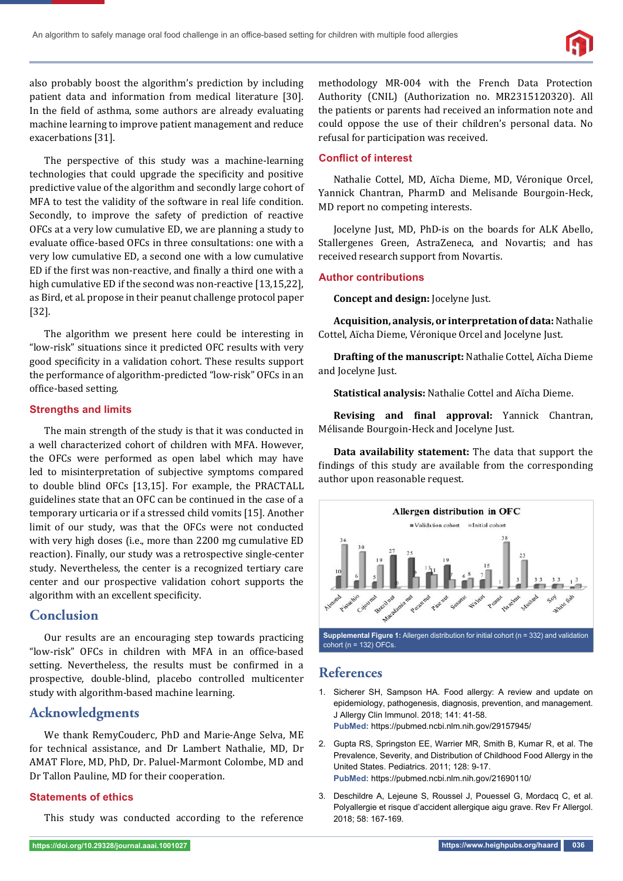

also probably boost the algorithm's prediction by including patient data and information from medical literature [30]. In the field of asthma, some authors are already evaluating machine learning to improve patient management and reduce exacerbations [31].

The perspective of this study was a machine-learning technologies that could upgrade the specificity and positive predictive value of the algorithm and secondly large cohort of MFA to test the validity of the software in real life condition. Secondly, to improve the safety of prediction of reactive OFCs at a very low cumulative ED, we are planning a study to evaluate office-based OFCs in three consultations: one with a very low cumulative ED, a second one with a low cumulative ED if the first was non-reactive, and finally a third one with a high cumulative ED if the second was non-reactive [13,15,22], as Bird, et al. propose in their peanut challenge protocol paper [32].

The algorithm we present here could be interesting in "low-risk" situations since it predicted OFC results with very good specificity in a validation cohort. These results support the performance of algorithm-predicted "low-risk" OFCs in an office-based setting.

## **Strengths and limits**

The main strength of the study is that it was conducted in a well characterized cohort of children with MFA. However, the OFCs were performed as open label which may have led to misinterpretation of subjective symptoms compared to double blind OFCs [13,15]. For example, the PRACTALL guidelines state that an OFC can be continued in the case of a temporary urticaria or if a stressed child vomits [15]. Another limit of our study, was that the OFCs were not conducted with very high doses (i.e., more than 2200 mg cumulative ED reaction). Finally, our study was a retrospective single-center study. Nevertheless, the center is a recognized tertiary care center and our prospective validation cohort supports the algorithm with an excellent specificity.

# **Conclusion**

Our results are an encouraging step towards practicing "low-risk" OFCs in children with MFA in an office-based setting. Nevertheless, the results must be confirmed in a prospective, double-blind, placebo controlled multicenter study with algorithm-based machine learning.

# **Acknowledgments**

We thank RemyCouderc, PhD and Marie-Ange Selva, ME for technical assistance, and Dr Lambert Nathalie, MD, Dr AMAT Flore, MD, PhD, Dr. Paluel-Marmont Colombe, MD and Dr Tallon Pauline, MD for their cooperation.

## **Statements of ethics**

This study was conducted according to the reference

methodology MR-004 with the French Data Protection Authority (CNIL) (Authorization no. MR2315120320). All the patients or parents had received an information note and could oppose the use of their children's personal data. No refusal for participation was received.

## **Conflict of interest**

Nathalie Cottel, MD, Aïcha Dieme, MD, Véronique Orcel, Yannick Chantran, PharmD and Melisande Bourgoin-Heck, MD report no competing interests.

Jocelyne Just, MD, PhD-is on the boards for ALK Abello, Stallergenes Green, AstraZeneca, and Novartis; and has received research support from Novartis.

## **Author contributions**

**Concept and design:** Jocelyne Just.

**Acquisition, analysis, or interpretation of data:** Nathalie Cottel, Aïcha Dieme, Véronique Orcel and Jocelyne Just.

**Drafting of the manuscript:** Nathalie Cottel, Aïcha Dieme and Jocelyne Just.

**Statistical analysis:** Nathalie Cottel and Aïcha Dieme.

**Revising and final approval:** Yannick Chantran, Mélisande Bourgoin-Heck and Jocelyne Just.

**Data availability statement:** The data that support the findings of this study are available from the corresponding author upon reasonable request.



# **References**

- 1. Sicherer SH, Sampson HA. Food allergy: A review and update on epidemiology, pathogenesis, diagnosis, prevention, and management. J Allergy Clin Immunol. 2018; 141: 41-58. **PubMed:** https://pubmed.ncbi.nlm.nih.gov/29157945/
- 2. Gupta RS, Springston EE, Warrier MR, Smith B, Kumar R, et al. The Prevalence, Severity, and Distribution of Childhood Food Allergy in the United States. Pediatrics. 2011; 128: 9-17. **PubMed:** https://pubmed.ncbi.nlm.nih.gov/21690110/
- 3. Deschildre A, Lejeune S, Roussel J, Pouessel G, Mordacq C, et al. Polyallergie et risque d'accident allergique aigu grave. Rev Fr Allergol. 2018; 58: 167-169.